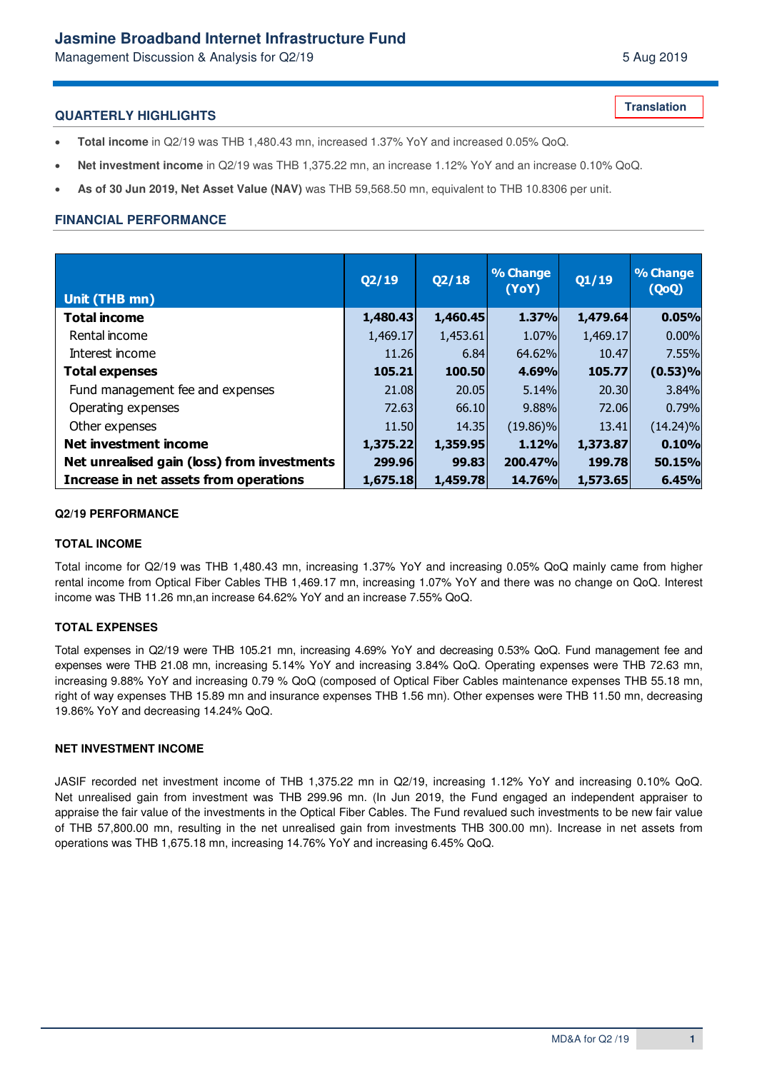# **Jasmine Broadband Internet Infrastructure Fund**

Management Discussion & Analysis for Q2/19 **5 Aug 2019** 5 Aug 2019

### **QUARTERLY HIGHLIGHTS**

- **Total income** in Q2/19 was THB 1,480.43 mn, increased 1.37% YoY and increased 0.05% QoQ.
- **Net investment income** in Q2/19 was THB 1,375.22 mn, an increase 1.12% YoY and an increase 0.10% QoQ.
- **As of 30 Jun 2019, Net Asset Value (NAV)** was THB 59,568.50 mn, equivalent to THB 10.8306 per unit.

## **FINANCIAL PERFORMANCE**

| Unit (THB mn)                               | Q2/19    | Q2/18    | % Change<br>(YoY) | Q1/19    | % Change<br>(QoQ) |
|---------------------------------------------|----------|----------|-------------------|----------|-------------------|
| <b>Total income</b>                         | 1,480.43 | 1,460.45 | 1.37%             | 1,479.64 | 0.05%             |
| Rental income                               | 1,469.17 | 1,453.61 | 1.07%             | 1,469.17 | 0.00%             |
| Interest income                             | 11.26    | 6.84     | 64.62%            | 10.47    | 7.55%             |
| <b>Total expenses</b>                       | 105.21   | 100.50   | 4.69%             | 105.77   | (0.53)%           |
| Fund management fee and expenses            | 21.08    | 20.05    | 5.14%             | 20,30    | 3.84%             |
| Operating expenses                          | 72.63    | 66.10    | 9.88%             | 72.06    | 0.79%             |
| Other expenses                              | 11.50    | 14.35    | $(19.86)\%$       | 13.41    | $(14.24)\%$       |
| Net investment income                       | 1,375.22 | 1,359.95 | 1.12%             | 1,373.87 | 0.10%             |
| Net unrealised gain (loss) from investments | 299.96   | 99.83    | 200.47%           | 199.78   | 50.15%            |
| Increase in net assets from operations      | 1,675.18 | 1,459.78 | 14.76%            | 1,573.65 | 6.45%             |

#### **Q2/19 PERFORMANCE**

#### **TOTAL INCOME**

Total income for Q2/19 was THB 1,480.43 mn, increasing 1.37% YoY and increasing 0.05% QoQ mainly came from higher rental income from Optical Fiber Cables THB 1,469.17 mn, increasing 1.07% YoY and there was no change on QoQ. Interest income was THB 11.26 mn,an increase 64.62% YoY and an increase 7.55% QoQ.

#### **TOTAL EXPENSES**

Total expenses in Q2/19 were THB 105.21 mn, increasing 4.69% YoY and decreasing 0.53% QoQ. Fund management fee and expenses were THB 21.08 mn, increasing 5.14% YoY and increasing 3.84% QoQ. Operating expenses were THB 72.63 mn, increasing 9.88% YoY and increasing 0.79 % QoQ (composed of Optical Fiber Cables maintenance expenses THB 55.18 mn, right of way expenses THB 15.89 mn and insurance expenses THB 1.56 mn). Other expenses were THB 11.50 mn, decreasing 19.86% YoY and decreasing 14.24% QoQ.

#### **NET INVESTMENT INCOME**

JASIF recorded net investment income of THB 1,375.22 mn in Q2/19, increasing 1.12% YoY and increasing 0.10% QoQ. Net unrealised gain from investment was THB 299.96 mn. (In Jun 2019, the Fund engaged an independent appraiser to appraise the fair value of the investments in the Optical Fiber Cables. The Fund revalued such investments to be new fair value of THB 57,800.00 mn, resulting in the net unrealised gain from investments THB 300.00 mn). Increase in net assets from operations was THB 1,675.18 mn, increasing 14.76% YoY and increasing 6.45% QoQ.

**Translation**